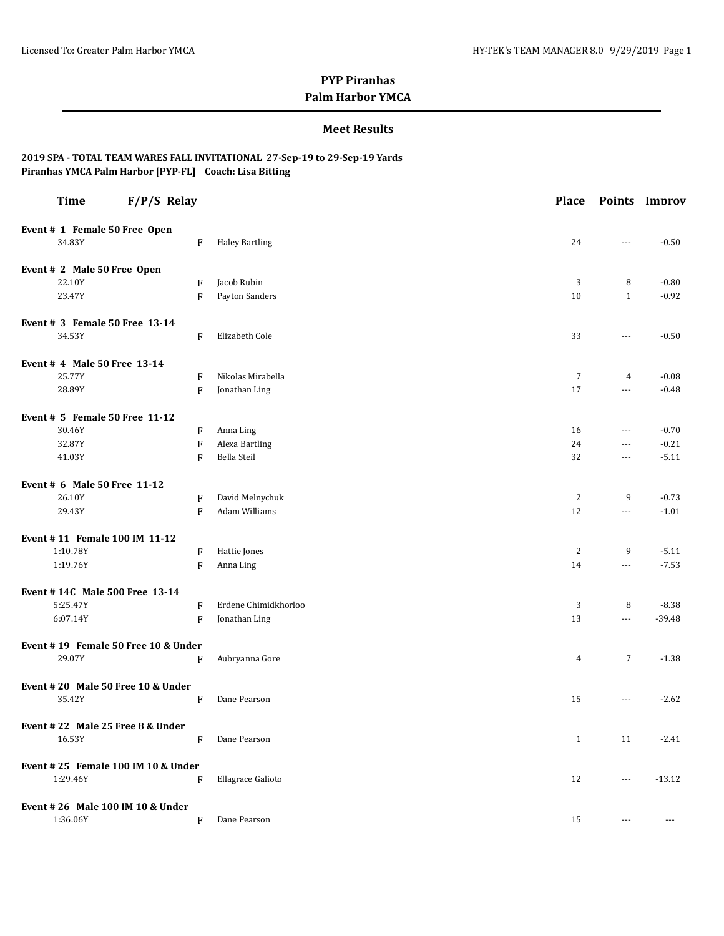### **Meet Results**

| <b>Time</b>                         | $F/P/S$ Relay |                           |                       | <b>Place</b>   |                          | Points Improv |
|-------------------------------------|---------------|---------------------------|-----------------------|----------------|--------------------------|---------------|
| Event # 1 Female 50 Free Open       |               |                           |                       |                |                          |               |
| 34.83Y                              |               | F                         | <b>Haley Bartling</b> | 24             | $\overline{a}$           | $-0.50$       |
| Event # 2 Male 50 Free Open         |               |                           |                       |                |                          |               |
| 22.10Y                              |               | F                         | Jacob Rubin           | 3              | 8                        | $-0.80$       |
| 23.47Y                              |               | F                         | Payton Sanders        | 10             | $\mathbf{1}$             | $-0.92$       |
| Event $# 3$ Female 50 Free 13-14    |               |                           |                       |                |                          |               |
| 34.53Y                              |               | F                         | Elizabeth Cole        | 33             | $\overline{\phantom{a}}$ | $-0.50$       |
| Event # 4 Male 50 Free 13-14        |               |                           |                       |                |                          |               |
| 25.77Y                              |               | F                         | Nikolas Mirabella     | 7              | 4                        | $-0.08$       |
| 28.89Y                              |               | F                         | Jonathan Ling         | 17             | $\cdots$                 | $-0.48$       |
| Event # 5 Female 50 Free 11-12      |               |                           |                       |                |                          |               |
| 30.46Y                              |               | F                         | Anna Ling             | 16             | $\cdots$                 | $-0.70$       |
| 32.87Y                              |               | $\boldsymbol{\mathrm{F}}$ | Alexa Bartling        | 24             | $\cdots$                 | $-0.21$       |
| 41.03Y                              |               | F                         | Bella Steil           | 32             | $\overline{\phantom{a}}$ | $-5.11$       |
| Event # 6 Male 50 Free 11-12        |               |                           |                       |                |                          |               |
| 26.10Y                              |               | F                         | David Melnychuk       | 2              | 9                        | $-0.73$       |
| 29.43Y                              |               | F                         | Adam Williams         | 12             | $\cdots$                 | $-1.01$       |
| Event #11 Female 100 IM 11-12       |               |                           |                       |                |                          |               |
| 1:10.78Y                            |               | F                         | Hattie Jones          | $\overline{c}$ | 9                        | $-5.11$       |
| 1:19.76Y                            |               | F                         | Anna Ling             | 14             | $\scriptstyle\cdots$     | $-7.53$       |
| Event #14C Male 500 Free 13-14      |               |                           |                       |                |                          |               |
| 5:25.47Y                            |               | F                         | Erdene Chimidkhorloo  | 3              | 8                        | $-8.38$       |
| 6:07.14Y                            |               | F                         | Jonathan Ling         | 13             | $\overline{a}$           | $-39.48$      |
| Event #19 Female 50 Free 10 & Under |               |                           |                       |                |                          |               |
| 29.07Y                              |               | $\boldsymbol{\mathrm{F}}$ | Aubryanna Gore        | 4              | $\overline{7}$           | $-1.38$       |
| Event #20 Male 50 Free 10 & Under   |               |                           |                       |                |                          |               |
| 35.42Y                              |               | F                         | Dane Pearson          | 15             | $\cdots$                 | $-2.62$       |
| Event #22 Male 25 Free 8 & Under    |               |                           |                       |                |                          |               |
| 16.53Y                              |               | F                         | Dane Pearson          | $\mathbf{1}$   | 11                       | $-2.41$       |
| Event #25 Female 100 IM 10 & Under  |               |                           |                       |                |                          |               |
| 1:29.46Y                            |               | F                         | Ellagrace Galioto     | 12             | $\cdots$                 | $-13.12$      |
| Event #26 Male 100 IM 10 & Under    |               |                           |                       |                |                          |               |
| 1:36.06Y                            |               | F                         | Dane Pearson          | 15             | $\cdots$                 | $---$         |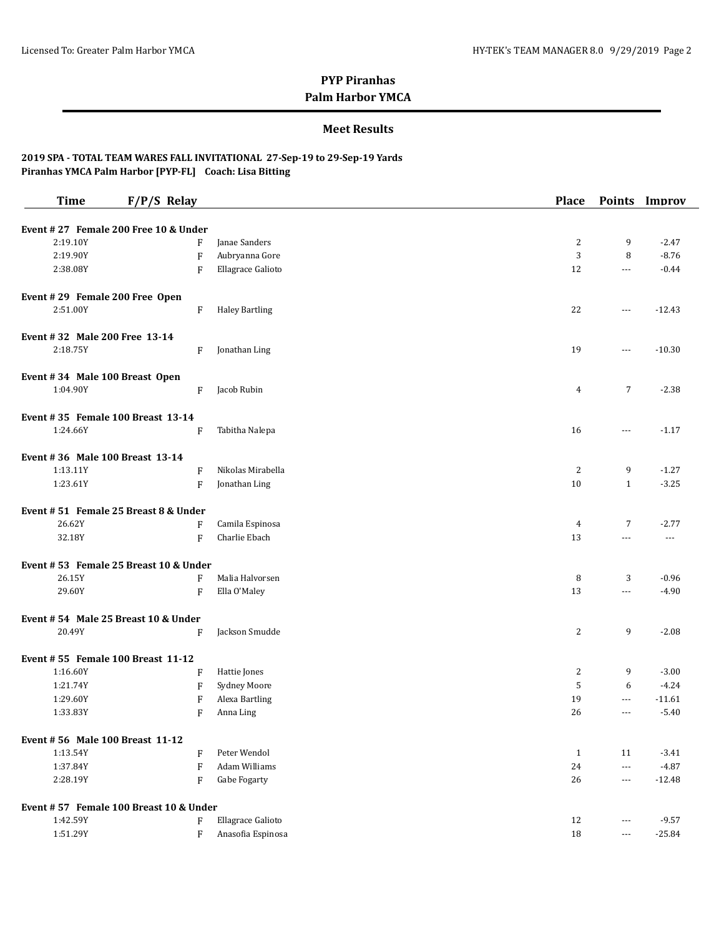### **Meet Results**

| <b>Time</b>                      | $F/P/S$ Relay                               |                                       | <b>Place</b>   |                          | Points Improv            |
|----------------------------------|---------------------------------------------|---------------------------------------|----------------|--------------------------|--------------------------|
|                                  | Event #27 Female 200 Free 10 & Under        |                                       |                |                          |                          |
| 2:19.10Y                         | F                                           | Janae Sanders                         | 2              | 9                        | $-2.47$                  |
| 2:19.90Y                         | $\mathbf{F}$                                | Aubryanna Gore                        | 3              | 8                        | $-8.76$                  |
| 2:38.08Y                         | F                                           | Ellagrace Galioto                     | 12             | $\cdots$                 | $-0.44$                  |
|                                  |                                             |                                       |                |                          |                          |
| Event #29 Female 200 Free Open   |                                             |                                       |                |                          |                          |
| 2:51.00Y                         | $\boldsymbol{\mathrm{F}}$                   | <b>Haley Bartling</b>                 | 22             | ---                      | $-12.43$                 |
| Event #32 Male 200 Free 13-14    |                                             |                                       |                |                          |                          |
| 2:18.75Y                         | F                                           | Jonathan Ling                         | 19             | ---                      | $-10.30$                 |
|                                  |                                             |                                       |                |                          |                          |
| Event #34 Male 100 Breast Open   |                                             |                                       |                |                          |                          |
| 1:04.90Y                         | F                                           | Jacob Rubin                           | 4              | $\overline{7}$           | $-2.38$                  |
|                                  | Event #35 Female 100 Breast 13-14           |                                       |                |                          |                          |
| 1:24.66Y                         | F                                           | Tabitha Nalepa                        | 16             | $---$                    | $-1.17$                  |
|                                  |                                             |                                       |                |                          |                          |
| Event #36 Male 100 Breast 13-14  |                                             |                                       |                |                          |                          |
| 1:13.11Y                         | $\boldsymbol{\mathrm{F}}$                   | Nikolas Mirabella                     | 2              | 9                        | $-1.27$                  |
| 1:23.61Y                         | $\mathbf{F}$                                | Jonathan Ling                         | 10             | $\mathbf{1}$             | $-3.25$                  |
|                                  | Event #51 Female 25 Breast 8 & Under        |                                       |                |                          |                          |
| 26.62Y                           | F                                           | Camila Espinosa                       | $\overline{4}$ | $\overline{7}$           | $-2.77$                  |
| 32.18Y                           | $\mathbf{F}$                                | Charlie Ebach                         | 13             | ---                      | $\overline{\phantom{a}}$ |
|                                  |                                             |                                       |                |                          |                          |
|                                  | Event #53 Female 25 Breast 10 & Under       |                                       |                |                          |                          |
| 26.15Y                           | F                                           | Malia Halvorsen                       | 8              | 3                        | $-0.96$                  |
| 29.60Y                           | $\boldsymbol{\mathrm{F}}$                   | Ella O'Maley                          | 13             | ---                      | $-4.90$                  |
|                                  | Event #54 Male 25 Breast 10 & Under         |                                       |                |                          |                          |
| 20.49Y                           | $\boldsymbol{\mathrm{F}}$                   | Jackson Smudde                        | 2              | 9                        | $-2.08$                  |
|                                  |                                             |                                       |                |                          |                          |
| 1:16.60Y                         | Event #55 Female 100 Breast 11-12<br>F      |                                       | 2              | 9                        | $-3.00$                  |
|                                  |                                             | Hattie Jones                          | 5              | 6                        | $-4.24$                  |
| 1:21.74Y<br>1:29.60Y             | F                                           | <b>Sydney Moore</b><br>Alexa Bartling | 19             | ---                      | $-11.61$                 |
|                                  | $\boldsymbol{\mathrm{F}}$                   | Anna Ling                             | 26             | $---$                    |                          |
| 1:33.83Y                         | F                                           |                                       |                |                          | $-5.40$                  |
| Event # 56 Male 100 Breast 11-12 |                                             |                                       |                |                          |                          |
| 1:13.54Y                         | F                                           | Peter Wendol                          | 1              | 11                       | $-3.41$                  |
| 1:37.84Y                         | $\mathbf{F}$                                | Adam Williams                         | 24             | ---                      | $-4.87$                  |
| 2:28.19Y                         | F                                           | Gabe Fogarty                          | 26             | $\cdots$                 | $-12.48$                 |
|                                  |                                             |                                       |                |                          |                          |
| 1:42.59Y                         | Event #57 Female 100 Breast 10 & Under<br>F | Ellagrace Galioto                     | 12             | $\overline{\phantom{a}}$ | $-9.57$                  |
| 1:51.29Y                         | $\mathbf{F}$                                | Anasofia Espinosa                     | 18             | $---$                    | $-25.84$                 |
|                                  |                                             |                                       |                |                          |                          |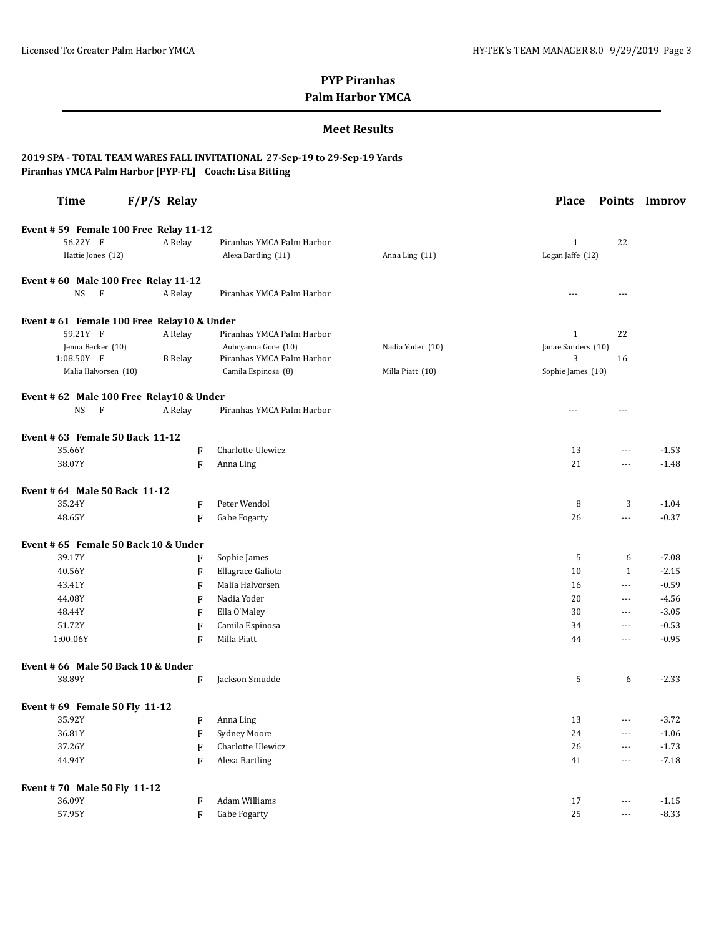#### **Meet Results**

| <b>Time</b>                                | $F/P/S$ Relay             |                           |                  | <b>Place</b>       |                          | Points Improv |
|--------------------------------------------|---------------------------|---------------------------|------------------|--------------------|--------------------------|---------------|
|                                            |                           |                           |                  |                    |                          |               |
| Event #59 Female 100 Free Relay 11-12      |                           |                           |                  |                    |                          |               |
| 56.22Y F                                   | A Relay                   | Piranhas YMCA Palm Harbor |                  | $\mathbf{1}$       | 22                       |               |
| Hattie Jones (12)                          |                           | Alexa Bartling (11)       | Anna Ling (11)   | Logan Jaffe (12)   |                          |               |
| Event #60 Male 100 Free Relay 11-12        |                           |                           |                  |                    |                          |               |
| $\mathbf{F}$<br>NS                         | A Relay                   | Piranhas YMCA Palm Harbor |                  |                    | ---                      |               |
| Event # 61 Female 100 Free Relay10 & Under |                           |                           |                  |                    |                          |               |
| 59.21Y F                                   | A Relay                   | Piranhas YMCA Palm Harbor |                  | 1                  | 22                       |               |
| Jenna Becker (10)                          |                           | Aubryanna Gore (10)       | Nadia Yoder (10) | Janae Sanders (10) |                          |               |
| 1:08.50Y F                                 | <b>B</b> Relay            | Piranhas YMCA Palm Harbor |                  | 3                  | 16                       |               |
| Malia Halvorsen (10)                       |                           | Camila Espinosa (8)       | Milla Piatt (10) | Sophie James (10)  |                          |               |
| Event # 62 Male 100 Free Relay10 & Under   |                           |                           |                  |                    |                          |               |
| NS<br>F                                    | A Relay                   | Piranhas YMCA Palm Harbor |                  | $- - -$            | $- - -$                  |               |
| Event # 63 Female 50 Back 11-12            |                           |                           |                  |                    |                          |               |
| 35.66Y                                     | F                         | Charlotte Ulewicz         |                  | 13                 | ---                      | $-1.53$       |
| 38.07Y                                     | F                         | Anna Ling                 |                  | 21                 | $\overline{\phantom{a}}$ | $-1.48$       |
|                                            |                           |                           |                  |                    |                          |               |
| Event # 64 Male 50 Back 11-12              |                           |                           |                  |                    |                          |               |
| 35.24Y                                     | F                         | Peter Wendol              |                  | 8                  | 3                        | $-1.04$       |
| 48.65Y                                     | F                         | Gabe Fogarty              |                  | 26                 | ---                      | $-0.37$       |
| Event # 65 Female 50 Back 10 & Under       |                           |                           |                  |                    |                          |               |
| 39.17Y                                     | F                         | Sophie James              |                  | 5                  | 6                        | $-7.08$       |
| 40.56Y                                     | F                         | Ellagrace Galioto         |                  | 10                 | $\mathbf{1}$             | $-2.15$       |
| 43.41Y                                     | F                         | Malia Halvorsen           |                  | 16                 | ---                      | $-0.59$       |
| 44.08Y                                     | F                         | Nadia Yoder               |                  | 20                 | $---$                    | $-4.56$       |
| 48.44Y                                     | F                         | Ella O'Maley              |                  | 30                 | $---$                    | $-3.05$       |
| 51.72Y                                     | $\mathbf F$               | Camila Espinosa           |                  | 34                 | $---$                    | $-0.53$       |
| 1:00.06Y                                   | F                         | Milla Piatt               |                  | 44                 | $---$                    | $-0.95$       |
| Event # 66 Male 50 Back 10 & Under         |                           |                           |                  |                    |                          |               |
| 38.89Y                                     | F                         | Jackson Smudde            |                  | 5                  | 6                        | $-2.33$       |
|                                            |                           |                           |                  |                    |                          |               |
| Event # 69 Female 50 Fly 11-12             |                           |                           |                  |                    |                          |               |
| 35.92Y                                     | F                         | Anna Ling                 |                  | 13                 | $---$                    | $-3.72$       |
| 36.81Y                                     | F                         | Sydney Moore              |                  | 24                 | $\overline{\phantom{a}}$ | $-1.06$       |
| 37.26Y                                     | F                         | Charlotte Ulewicz         |                  | 26                 | $\overline{\phantom{a}}$ | $-1.73$       |
| 44.94Y                                     | F                         | Alexa Bartling            |                  | 41                 | $\overline{\phantom{a}}$ | $-7.18$       |
| Event #70 Male 50 Fly 11-12                |                           |                           |                  |                    |                          |               |
| 36.09Y                                     | F                         | Adam Williams             |                  | 17                 | ---                      | $-1.15$       |
| 57.95Y                                     | $\boldsymbol{\mathrm{F}}$ | Gabe Fogarty              |                  | $25\,$             | $\scriptstyle\cdots$     | $-8.33$       |
|                                            |                           |                           |                  |                    |                          |               |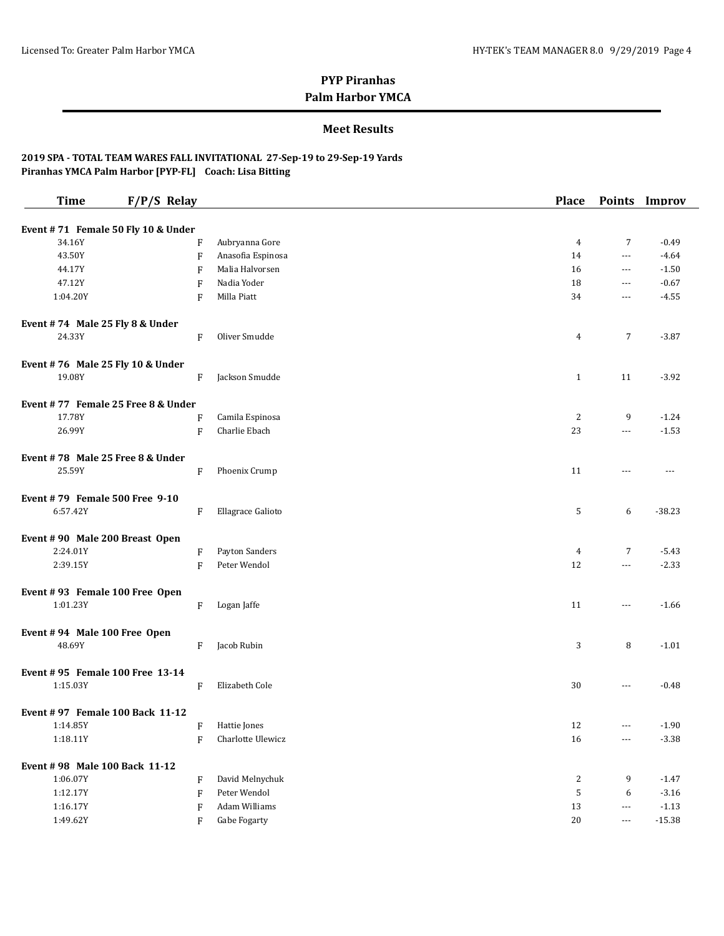### **Meet Results**

| <b>Time</b>                                | $F/P/S$ Relay |                      | <b>Place</b>   |                          | Points Improv |
|--------------------------------------------|---------------|----------------------|----------------|--------------------------|---------------|
| Event #71 Female 50 Fly 10 & Under         |               |                      |                |                          |               |
| 34.16Y                                     | F             | Aubryanna Gore       | 4              | 7                        | $-0.49$       |
| 43.50Y                                     | F             | Anasofia Espinosa    | 14             | $\sim$ $\sim$ $\sim$     | $-4.64$       |
| 44.17Y                                     | F             | Malia Halvorsen      | 16             | $\sim$ $\sim$ $\sim$     | $-1.50$       |
| 47.12Y                                     | F             | Nadia Yoder          | 18             | $---$                    | $-0.67$       |
| 1:04.20Y                                   | F             | Milla Piatt          | 34             | $---$                    | $-4.55$       |
|                                            |               |                      |                |                          |               |
| Event #74 Male 25 Fly 8 & Under<br>24.33Y  | F             | Oliver Smudde        | 4              | 7                        | $-3.87$       |
|                                            |               |                      |                |                          |               |
| Event #76 Male 25 Fly 10 & Under           |               |                      |                |                          |               |
| 19.08Y                                     | F             | Jackson Smudde       | $\mathbf{1}$   | 11                       | $-3.92$       |
| Event #77 Female 25 Free 8 & Under         |               |                      |                |                          |               |
| 17.78Y                                     | F             | Camila Espinosa      | $\overline{c}$ | 9                        | $-1.24$       |
| 26.99Y                                     | $\rm F$       | Charlie Ebach        | 23             | $\cdots$                 | $-1.53$       |
| Event #78 Male 25 Free 8 & Under           |               |                      |                |                          |               |
| 25.59Y                                     | F             | Phoenix Crump        | 11             | ---                      | $\cdots$      |
|                                            |               |                      |                |                          |               |
| Event #79 Female 500 Free 9-10             |               |                      |                |                          |               |
| 6:57.42Y                                   | F             | Ellagrace Galioto    | 5              | 6                        | $-38.23$      |
|                                            |               |                      |                |                          |               |
| Event #90 Male 200 Breast Open<br>2:24.01Y | F             | Payton Sanders       | $\overline{4}$ | 7                        | $-5.43$       |
| 2:39.15Y                                   | F             | Peter Wendol         | 12             | $\overline{\phantom{a}}$ | $-2.33$       |
|                                            |               |                      |                |                          |               |
| Event #93 Female 100 Free Open             |               |                      |                |                          |               |
| 1:01.23Y                                   | F             | Logan Jaffe          | 11             | $\sim$ $\sim$ $\sim$     | $-1.66$       |
|                                            |               |                      |                |                          |               |
| Event #94 Male 100 Free Open               |               |                      |                |                          |               |
| 48.69Y                                     | F             | Jacob Rubin          | 3              | 8                        | $-1.01$       |
| Event #95 Female 100 Free 13-14            |               |                      |                |                          |               |
| 1:15.03Y                                   | F             | Elizabeth Cole       | 30             | $---$                    | $-0.48$       |
|                                            |               |                      |                |                          |               |
| Event #97 Female 100 Back 11-12            |               |                      |                |                          |               |
| 1:14.85Y                                   |               | F Hattie Jones       | 12             | $- - -$                  | $-1.90$       |
| 1:18.11Y                                   | F             | Charlotte Ulewicz    | 16             | $\cdots$                 | $-3.38$       |
| Event #98 Male 100 Back 11-12              |               |                      |                |                          |               |
| 1:06.07Y                                   | F             | David Melnychuk      | $\overline{c}$ | 9                        | $-1.47$       |
| 1:12.17Y                                   | F             | Peter Wendol         | 5              | 6                        | $-3.16$       |
| 1:16.17Y                                   | F             | <b>Adam Williams</b> | $13\,$         | $\scriptstyle\cdots$     | $-1.13$       |
| 1:49.62Y                                   | F             | Gabe Fogarty         | 20             | $---$                    | $-15.38$      |